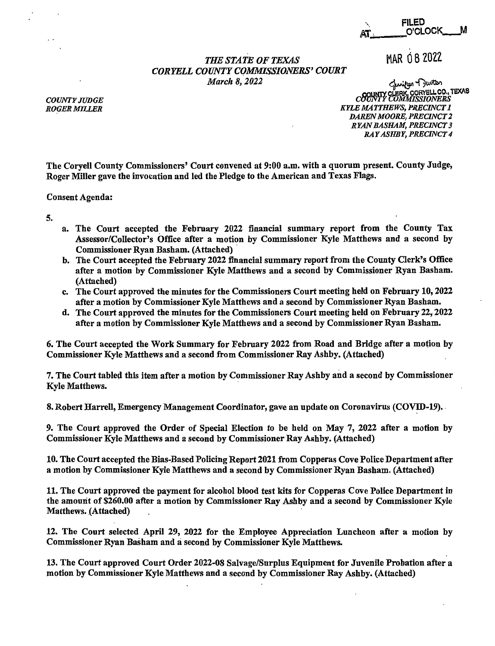-,. FILED FILED<br>AT. \_\_\_\_\_\_\_O'CLOCK\_\_\_\_M

MAR 08 2022

## *THE STATE OF TEXAS CORYELL COUNTY CQMMISSJONERS' COURT March 8, 2022*

لمنزوم + كيستر<br>County CLERK, CORYELL CO., TEXAS *COUNTY COMMISSIONERS KYLE MATTHEWS, PKRCINCT 1 DAREN MOORE, PKRCINCT 2 RYAN BASHAM, PRECINCT 3 RAY ASHBY, PRECINCT 4* 

The Coryell County Commissioners' Court convened at 9:00 a.m. with a quorum present. County Judge, Roger Miller gave the invocation and led the Pledge to the American and Texas Flags.

Consent Agenda:

5.

- a. The Court accepted the February 2022 financial summary report from the County Tax Assessor/Collector's Office after a motion by Commissioner Kyle Matthews and a second by Commissioner Ryan Basham. (Attached) ·
- b. The Court accepted the February 2022 financial summary report from the County Clerk's Office after a motion by Commissioner Kyle Matthews and a second by Commissioner Ryan Basham. (Attached)
- c. The Court approved the minutes for the Commissioners Court meeting held on February 10, 2022 after a motion by Commissioner Kyle Matthews and a second by Commissioner Ryan Basham.
- d. The Court approved the minutes for the Commissioners Court meeting held on February **22,,** 2022 after a motion by Commissioner Kyle Matthews and a second by Commissioner Ryan Basham.

6. The Court accepted the Work Summary for February 2022 from Road and Bridge after a motjon by Commissioner Kyle Matthews and a second from Commissioner Ray Ashby. (Attached)

7. The Court tabled this item after a motion by Commissioner Ray Ashby and a second by Commissioner Kyle Matthews.

8. Robert Harrell, Emergency Management Coordinator, gave an update on Coronavirus (COVID-19).

9. The Court approved the Order of Special Election to be held on May 7, 2022 after a motion by Commissioner Kyle Matthews and a second by Commissioner Ray Ashby. (Attached)

10. The Court accepted the Bias-Based Policing Report 2021 from Copperas Cove Police Department after a motion by Commissioner Kyle Matthews and a second by Commissioner Ryan Basham. (Attached)

11. The Court approved the payment for alcohol blood test kits for Copperas Cove Police Department in the amount of \$260.00 after a motion by Commissioner Ray Ashby and a second by Commissioner Kyle Matthews. (Attached)

12. The Court selected April 29, 2022 for the Employee Appreciation Luncheon after a motion by Commissioner Ryan Basham and a second by Commissioner Kyle Matthews.

13. The Court approved Court Order 2022-08 Salvage/Surplus Equipment for Juvenile Probation after a motion by Commissioner Kyle Matthews and a second by Commissioner Ray Ashby. (Attached)

*C:OUNTY* JUDGE *RO~ER MILLER*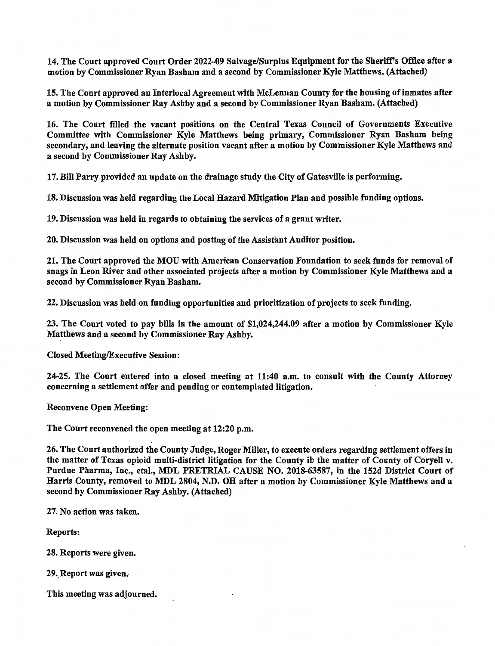14. The Court approved Court Order 2022-09 Salvage/Surplus Equipment for the Sheriff's Office after a motion by Commissioner Ryan Basham and a second by Commissioner Kyle Matthews. (Attached)

15. The Court approved an Interlocal Agreement with McLennan County for the housing of inmates after a motion by Commissioner Ray Ashby and a second by Commissioner Ryan Basham. (Attached)

16. The Court filled the vacant positions on the Central Texas Council of Governments Executive Committee with Commissioner Kyle Matthews being primary, Commissioner Ryan Basham being secondary, and leaving the alternate position vacant after a motion by Commissioner Kyle Matthews and a second by Commissioner Ray Ashby.

17. Bill Parry provided an update on the drainage study the City of Gatesville is performing.

18. Discussion was held regarding the Local Hazard Mitigation Plan and possible funding options.

19. Discussion was held in regards to obtaining the services of a grant writer.

20. Discussion was held on options and posting of the Assistant Auditor position.

21. The Court approved the MOU with American Conservation Foundation to seek funds for removal of snags in Leon River and other associated projects after a motion by Commissioner Kyle Matthews and a second by Commissioner Ryan Basham.

22. Discussion was held on funding opportunities and prioritization of projects to seek funding.

23. The Court voted to pay bills in the amount of \$1,024,244.09 after a motion by Commissioner Kyle Matthews and a second by Commissioner Ray Ashby.

Closed Meeting/Executive Session:

24-25. The Court entered into a closed meeting at 11:40 a.m. to consult with the County Attorney concerning a settlement offer and pending or contemplated litigation.

Reconvene Open Meeting:

The Court reconvened the open meeting at 12:20 p.m.

26. The Court authorized the County Judge, Roger Miller, to execute orders regarding settlement offers in the matter of Texas opioid multi-district litigation for the County ib the matter of County of Coryell v. Purdue Pharma, Inc., etal., MDL PRETRIAL CAUSE NO. 2018-63587, in the 152d District Court of Harris County, removed to MDL 2804, **N.D.** OH after a motion by Commissioner Kyle Matthews and a second by Commissioner Ray Ashby. (Attached)

27. No action was taken.

Reports:

28. Reports were given.

29. Report was given.

This meeting was adjourned.